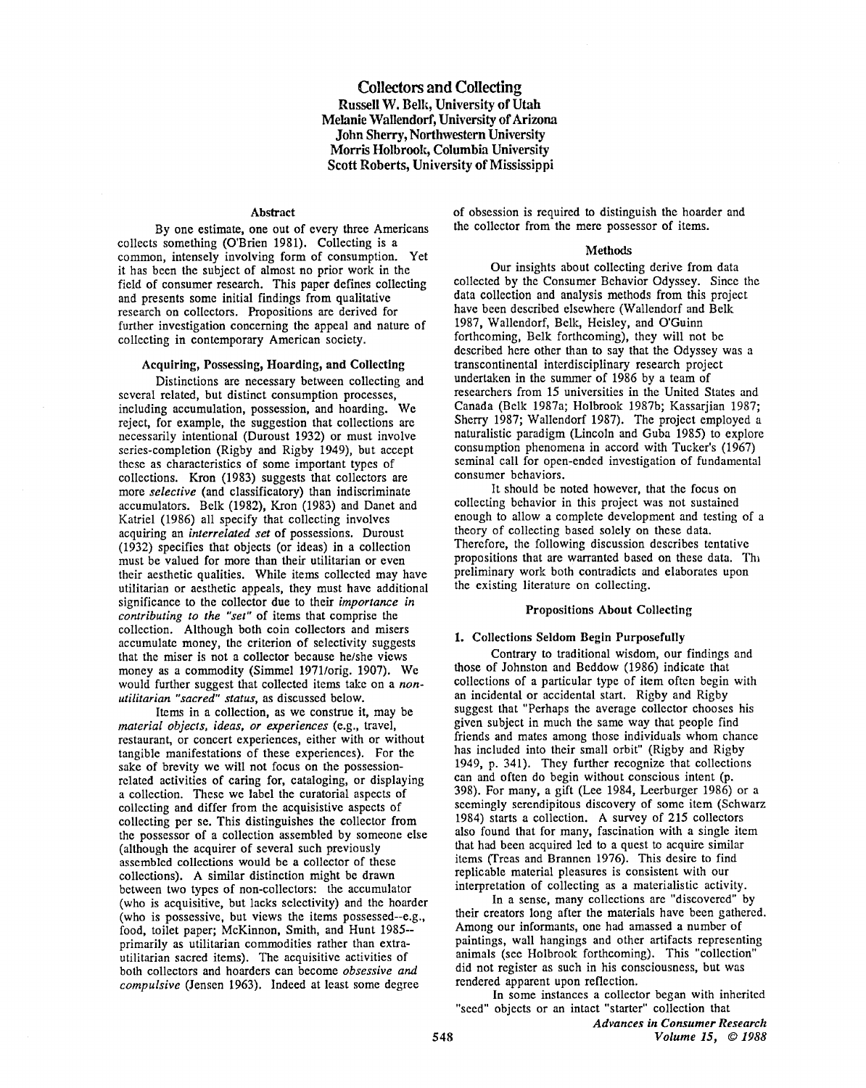Collectors and Collecting Russell W. Belk, University of Utah Melanie Wallendorf, University of Arizona John Sherry, Northwestern University Morris Holbrook, Columbia University Scott Roberts, University of Mississippi

# Abstract

By one estimate, one out of every three Americans collects something (O'Brien 1981). Collecting is a common, intensely involving form of consumption. Yet it has been the subject of almost no prior work in the field of consumer research. This paper defines collecting and presents some initial findings from qualitative research on collectors. Propositions are derived for further investigation conceming the appeal and nature of collecting in contemporary American society.

## Acquiring, Possessing, Hoarding, and Collecting

Distinctions are necessary between collecting and several related, but distinct consumption processes, including accumulation, possession, and hoarding. We reject, for example, the suggestion that collections are necessarily intentional (Duroust 1932) or must involve series-completion (Rigby and Rigby 1949), but accept these as characteristics of some important types of collections. Kron (1983) suggests that collectors are more *selective* (and classificatory) than indiscriminate accumulators. Belk (1982), Kron (1983) and Danet and Katriel (1986) all specify that collecting involves acquiring an *interrelated set* of possessions. Duroust (1932) specifies that objects (or ideas) in a collection must be valued for more than their utilitarian or even their aesthetic qualities. While items collected may have utilitarian or aesthetic appeals, they must have additional significance to the collector due to their *importance in contributing to the "set"* of items that comprise the collection. Although both coin collectors and misers accumulate money, the criterion of selectivity suggests that the miser is not a collector because he/she views money as a commodity (Simmel 1971/orig. 1907). We would further suggest that collected items take on a *nonutilitarian "sacred" status,* as discussed below.

Items in a collection, as we construe it, may be *material objects, ideas, or experiences* (e.g., travel, restaurant, or concert experiences, either with or without tangible manifestations of these experiences). For the sake of brevity we will not focus on the possessionrelated activities of caring for, cataloging, or displaying a collection. These we label the curatorial aspects of collecting and differ from the acquisistive aspects of collecting per se. This distinguishes the collector from the possessor of a collection assembled by someone else (although the acquirer of several such previously assembled collections would be a collector of these collections). A similar distinction might be drawn between two types of non-collectors: the accumulator (who is acquisitive, but lacks selectivity) and the hoarder (who is possessive, but views the items possessed—e.g., food, toilet paper; McKinnon, Smith, and Hunt 1985 primarily as utilitarian commodities rather than extrautilitarian sacred items). The acquisitive activities of both collectors and hoarders can become *obsessive and compulsive* (Jensen 1963). Indeed at least some degree

of obsession is required to distinguish the hoarder and the collector from the mere possessor of items.

#### Methods

Our insights about collecting derive from data collected by the Consumer Behavior Odyssey. Since the data collection and analysis methods from this project have been described elsewhere (Wallendorf and Belk 1987, Wallendorf, Belk, Heisley, and O'Guinn forthcoming, Belk forthcoming), they will not be described here other than to say that the Odyssey was a transcontinental interdisciplinary research project undertaken in the summer of 1986 by a team of researchers from 15 universities in the United States and Canada (Belk 1987a; Holbrook 1987b; Kassarjian 1987; Sherry 1987; Wallendorf 1987). The project employed a naturalistic paradigm (Lincoln and Guba 1985) to explore consumption phenomena in accord with Tucker's (1967) seminal call for open-ended investigation of fundamental consumer behaviors.

It should be noted however, that the focus on collecting behavior in this project was not sustained enough to allow a complete development and testing of a theory of collecting based solely on these data. Therefore, the following discussion describes tentative propositions that are warranted based on these data. Thi preliminary work both contradicts and elaborates upon the existing literature on collecting.

### Propositions About Collecting

#### 1. Collections Seldom Begin Purposefully

Contrary to traditional wisdom, our findings and those of Johnston and Beddow (1986) indicate that collections of a particular type of item often begin with an incidental or accidental start. Rigby and Rigby suggest that "Perhaps the average collector chooses his given subject in much the same way that people find friends and mates among those individuals whom chance has included into their small orbit" (Rigby and Rigby 1949, p. 341). They further recognize that collections can and often do begin without conscious intent (p. 398). For many, a gift (Lee 1984, Leerburger 1986) or a seemingly serendipitous discovery of some item (Schwarz 1984) starts a collection. A survey of 215 collectors also found that for many, fascination with a single item that had been acquired led to a quest to acquire similar items (Treas and Brannen 1976). This desire to find replicable material pleasures is consistent with our interpretation of collecting as a materialistic activity.

In a sense, many collections are "discovered" by their creators long after the materials have been gathered. Among our informants, one had amassed a number of paintings, wall hangings and other artifacts representing animals (see Holbrook forthcoming). This "collection" did not register as such in his consciousness, but was rendered apparent upon reflection.

In some instances a collector began with inherited "seed" objects or an intact "starter" collection that

*Advances in Consumer Research* 548 *Volume 15, © 1988*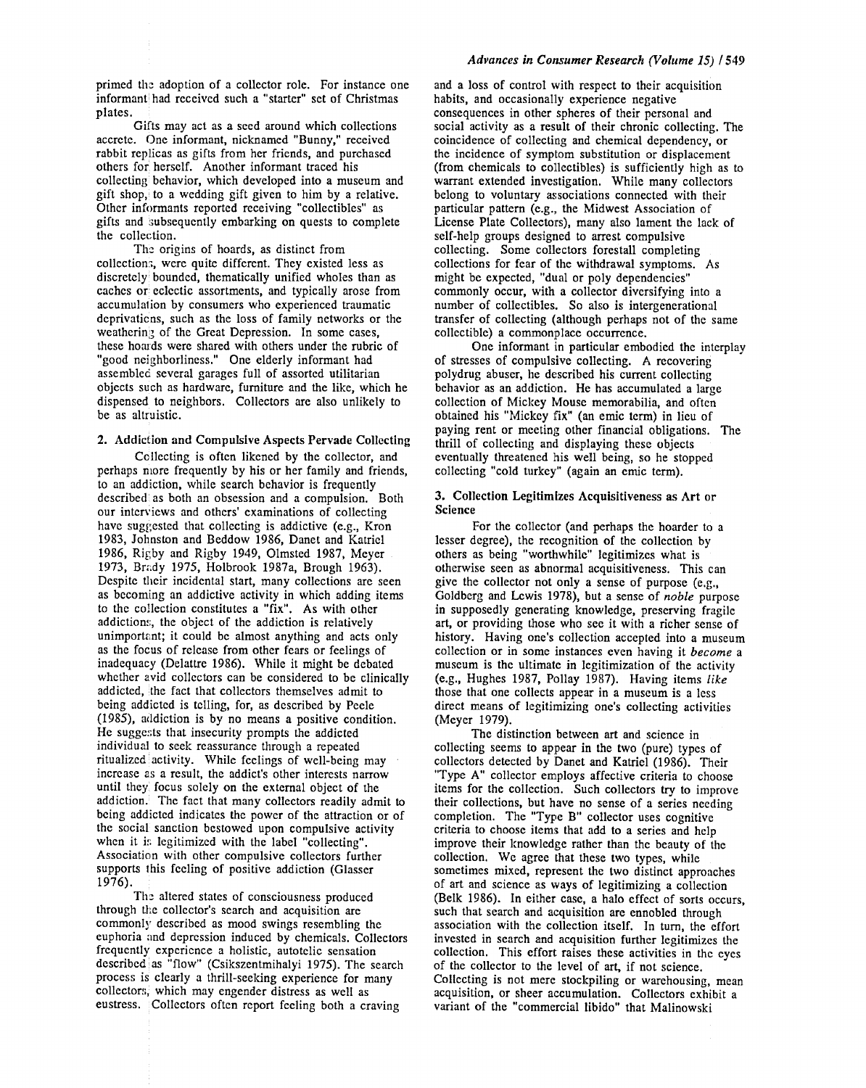primed the adoption of a collector role. For instance one informant had received such a "starter" set of Christmas plates.

Gifts may act as a seed around which collections accrete. One informant, nicknamed "Bunny," received rabbit replicas as gifts from her friends, and purchased others for herself. Another informant traced his collecting behavior, which developed into a museum and gift shop, to a wedding gift given to him by a relative. Other informants reported receiving "collectibles" as gifts and subsequently embarking on quests to complete the collection.

The origins of hoards, as distinct from collection:., were quite different. They existed less as discretely bounded, thematically unified wholes than as caches or eclectic assortments, and typically arose from accumulation by consumers who experienced traumatic deprivations, such as the loss of family networks or the weathering of the Great Depression. In some cases, these hoaids were shared with others under the rubric of "good neighborliness." One elderly informant had assembled several garages full of assorted utilitarian objects such as hardware, furniture and the like, which he dispensed to neighbors. Collectors are also unlikely to be as altruistic.

# 2. Addiction and Compulsive Aspects Pervade Collecting

Collecting is often likened by the collector, and perhaps more frequently by his or her family and friends, to an addiction, while search behavior is frequently described as both an obsession and a compulsion. Both our interviews and others' examinations of collecting have suggested that collecting is addictive (e.g., Kron 1983, Johnston and Beddow 1986, Danet and Katriel 1986, Rigby and Rigby 1949, Olmsted 1987, Meyer 1973, Brady 1975, Holbrook 1987a, Brough 1963). Despite their incidental start, many collections are seen as becoming an addictive activity in which adding items to the collection constitutes a "fix". As with other addictions, the object of the addiction is relatively unimportant; it could be almost anything and acts only as the focus of release from other fears or feelings of inadequacy (Delattre 1986). While it might be debated whether avid collectors can be considered to be clinically addicted, the fact that collectors themselves admit to being addicted is telling, for, as described by Peele (1985), addiction is by no means a positive condition. He suggests that insecurity prompts the addicted individual to seek reassurance through a repeated ritualized activity. While feelings of well-being may increase as a result, the addict's other interests narrow until they focus solely on the external object of the addiction. The fact that many colleetors readily admit to being addicted indicates the power of the attraction or of the social sanction bestowed upon compulsive activity when it is legitimized with the label "collecting". Association with other compulsive collectors further supports this feeling of positive addiction (Glasser 1976).

The altered states of consciousness produced through the collector's search and acquisition are commonly described as mood swings resembling the euphoria and depression induced by chemicals. Collectors frequently experience a holistic, autotelic sensation described las "flow" (Csikszentmihalyi 1975). The search process is clearly a thrill-seeking experience for many collectors, which may engender distress as well as eustress. Collectors often report feeling both a craving

and a loss of control with respect to their acquisition habits, and occasionally experience negative consequences in other spheres of their personal and social activity as a result of their chronic collecting. The coincidence of collecting and chemical dependency, or the incidenee of symptom substitution or displacement (from chemicals to collectibles) is sufficiently high as to warrant extended investigation. While many collectors belong to voluntary associations connected with their particular pattern (e.g., the Midwest Association of License Plate Collectors), many also lament the lack of self-help groups designed to arrest compulsive collecting. Some collectors forestall completing collections for fear of the withdrawal symptoms. As might be expected, "dual or poly dependencies" commonly occur, with a collector diversifying into a number of collectibles. So also is intergenerational transfer of collecting (although perhaps not of the same collectible) a commonplace occurrence.

One informant in particular embodied the interplay of stresses of compulsive collecting. A recovering polydrug abuser, he described his current collecting behavior as an addiction. He has accumulated a large collection of Miekey Mouse memorabilia, and often obtained his "Mickey fix" (an emic term) in lieu of paying rent or meeting other financial obligations. The thrill of collecting and displaying these objects eventually threatened his well being, so he stopped collecting "cold turkey" (again an emic term).

### 3. Collection Legitimizes Acquisitiveness as Art or Science

For the collector (and perhaps the hoarder to a lesser degree), the recognition of the collection by others as being "worthwhile" legitimizes what is otherwise seen as abnormal acquisitiveness. This can give the collector not only a sense of purpose (e.g., Goldberg and Lewis 1978), but a sense of *noble* purpose in supposedly generating knowledge, preserving fragile art, or providing those who see it with a richer sense of history. Having one's collection accepted into a museum collection or in some instances even having it *become a* museum is the ultimate in legitimization of the activity (e.g., Hughes 1987, Pollay 1987). Having items *like* those that one collects appear in a museum is a less direct means of legitimizing one's collecting activities (Meyer 1979).

The distinction between art and science in collecting seems to appear in the two (pure) types of collectors detected by Danet and Katriel (1986). Their "Type A" collector employs affective criteria to choose items for the collection. Such collectors try to improve their collections, but have no sense of a series needing completion. The "Type B" collector uses cognitive criteria to choose items that add to a series and help improve their knowledge rather than the beauty of the collection. We agree that these two types, while sometimes mixed, represent the two distinct approaches of art and science as ways of legitimizing a collection (Belk 1986). In either case, a halo effect of sorts occurs, such that search and acquisition are ennobled through association with the collection itself. In turn, the effort invested in search and acquisition further legitimizes the collection. This effort raises these activities in the eyes of the collector to the level of art, if not science. Collecting is not mere stockpiling or warehousing, mean acquisition, or sheer accumulation. Collectors exhibit a variant of the "commercial libido" that Malinowski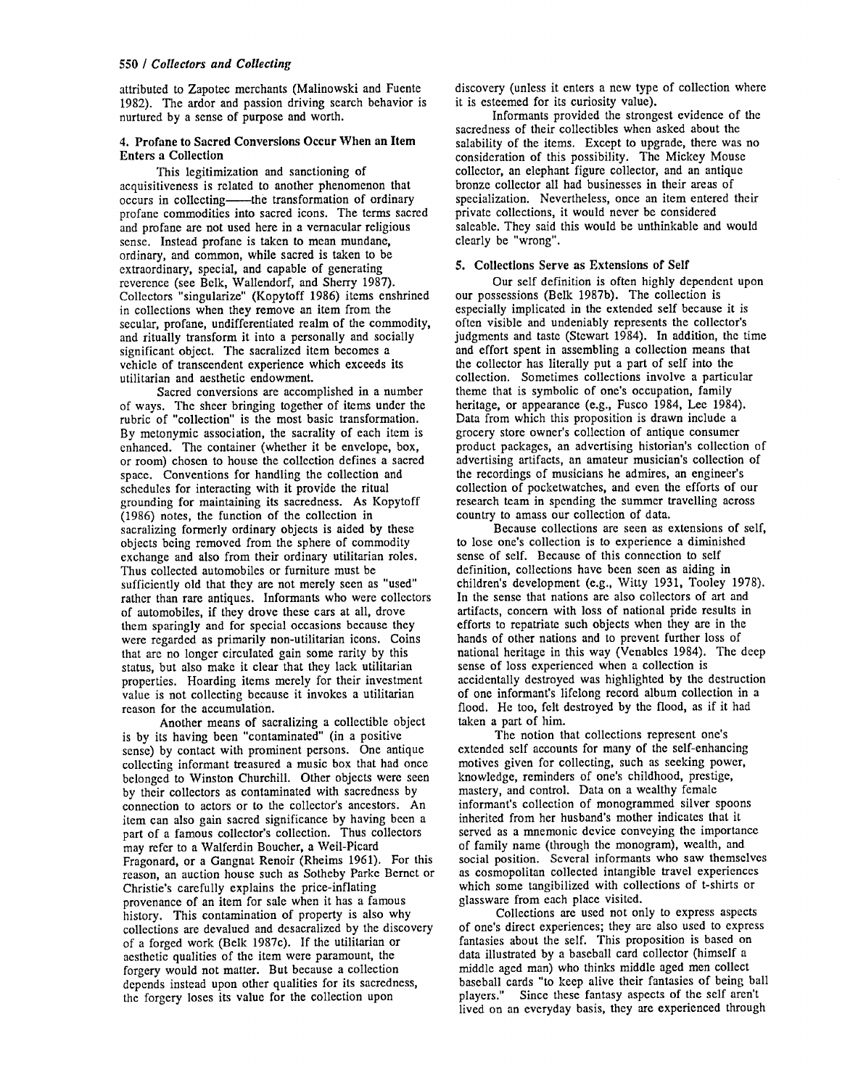attributed to Zapotec merchants (Malinowski and Fuente 1982). The ardor and passion driving search behavior is nurtured by a sense of purpose and worth.

### 4. **Profane to Sacred Conversions Occur When an Item Enters a Collection**

This legitimization and sanctioning of acquisitiveness is related to another phenomenon that occurs in collecting——the transformation of ordinary profane commodities into sacred icons. The terms sacred and profane are not used here in **a** vernacular religious sense. Instead profane is taken to mean mundane, ordinary, and common, while sacred is taken to be extraordinary, special, and capable of generating reverence (see Belk, Wallendorf, and Sherry 1987). Collectors "singularize" (Kopytoff 1986) items enshrined in collections when they remove an item from the secular, profane, undifferentiated realm of the commodity, and ritually transform it into **a** personally and socially significant object. The sacralized item becomes a vehicle of transcendent experience which exceeds its utilitarian and aesthetic endowment.

Sacred conversions are accomplished in a number of ways. The sheer bringing together of items under the rubric of "collection" is the most basic transformation. By mctonymic association, the sacrality of each item is enhanced. The container (whether it be envelope, box, or room) chosen to house the collection defines **a** sacred space. Conventions for handling the collection and schedules for interacting with it provide the ritual grounding for maintaining its sacredness. As Kopytoff (1986) notes, the function of the collection in sacralizing formerly ordinary objects is aided by these objects being removed from the sphere of commodity exchange and also from their ordinary utilitarian roles. Thus collected automobiles or furniture must be sufficiently old that they are not merely seen as "used" rather than rare antiques. Informants who were collectors of automobiles, if they drove these cars at all, drove them sparingly and for special occasions because they were regarded as primarily non-utilitarian icons. Coins that are no longer circulated gain some rarity by this status, but also make it clear that they lack utilitarian properties. Hoarding items merely for their investment value is not collecting because it invokes a utilitarian reason for the accumulation.

Another means of sacralizing a collectible object is by its having been "contaminated" (in a positive sense) by contact with prominent persons. One antique collecting informant treasured a music box that had once belonged to Winston Churchill. Other objects were seen by their collectors as contaminated with sacredness by connection to actors or to the collector's ancestors. An item can also gain sacred significance by having been a part of a famous collector's collection. Thus collectors may refer to a Walferdin Boucher, a Weil-Picard Fragonard, or a Gangnat Renoir (Rheims 1961). For this reason, an auction house such as Sotheby Parke Bemct or Christie's carefully explains the price-inflating provenance of an item for sale when it has a famous history. This contamination of property is also why collections are devalued and desacralized by the discovery of a forged work (Belk 1987c). If the utilitarian or aesthetic qualities of the item were paramount, the forgery would not matter. But because a collection depends instead upon other qualities for its sacredness, the forgery loses its value for the collection upon

discovery (unless it enters a new type of collection where it is esteemed for its curiosity value).

Informants provided the strongest evidence of the sacredness of their collectibles when asked about the salability of the items. Except to upgrade, there was no consideration of this possibility. The Mickey Mouse collector, an elephant figure collector, and an antique bronze collector all had businesses in their areas of specialization. Nevertheless, once an item entered their private collections, it would never be considered saleable. They said this would be unthinkable and would clearly be "wrong".

### 5. Collections Serve **as** Extensions **of** Self

Our self definition is often highly dependent upon our possessions (Belk 1987b). The collection is especially implicated in the extended self because it is often visible and undeniably represents the collector's judgments and taste (Stewart 1984). In addition, the time and effort spent in assembling a collection means that the collector has literally put a part of self into the collection. Sometimes collections involve a particular theme that is symbolic of one's occupation, family heritage, or appearance (e.g., Fusco 1984, Lee 1984). Data from which this proposition is drawn include a grocery store owner's collection of antique consumer product packages, an advertising historian's collection of advertising artifacts, an amateur musician's collection of the recordings of musicians he admires, an engineer's collection of pocketwatches, and even the efforts of our research team in spending the summer travelling across country to amass our collection of data.

Because collections are seen as extensions of self, to lose one's collection is to experience a diminished sense of self. Because of this connection to self definition, collections have been seen as aiding in children's development (e.g.. Witty 1931, Tooley 1978). In the sense that nations are also collectors of art and artifacts, concern with loss of national pride results in efforts to repatriate such objects when they are in the hands of other nations and to prevent further loss of national heritage in this way (Venables 1984). The deep sense of loss experienced when a collection is accidentally destroyed was highlighted by the destruction of one informant's lifelong record album collection in a flood. He too, felt destroyed by the flood, as if it had taken a part of him.

The notion that collections represent one's extended self accounts for many of the self-enhancing motives given for collecting, such as seeking power, knowledge, reminders of one's childhood, prestige, mastery, and control. Data on a wealthy female informant's collection of monogrammed silver spoons inherited from her husband's mother indicates that it served as a mnemonic device conveying the importance of family name (through the monogram), wealth, and social position. Several informants who saw themselves as cosmopolitan collected intangible travel experiences which some tangibilized with collections of t-shirts or glassware from each place visited.

Collections are used not only to express aspects of one's direct experiences; they are also used to express fantasies about the self. This proposition is based on data illustrated by a baseball card collector (himself a middle aged man) who thinks middle aged men collect baseball cards "to keep alive their fantasies of being ball players." Since these fantasy aspects of the self aren't lived on an everyday basis, they are experienced through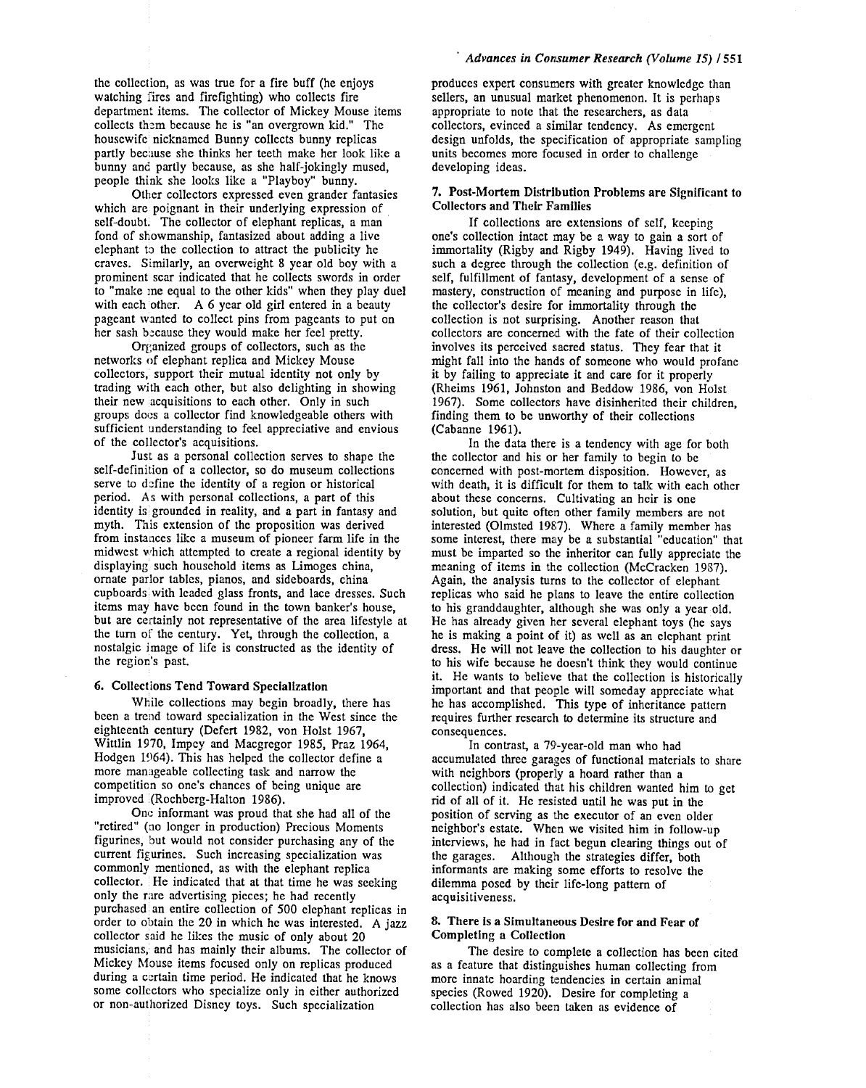the collection, as was true for a fire buff (he enjoys watching fires and firefighting) who collects fire department items. The collector of Mickey Mouse items collects them because he is "an overgrown kid." The housewife nicknamed Bunny collects bunny replicas partly because she thinks her teeth make her look like a bunny and partly because, as she half-jokingly mused, people think she looks like a "Playboy" bunny.

Other collectors expressed even grander fantasies which are poignant in their underlying expression of self-doubt. The collector of elephant replicas, a man fond of showmanship, fantasized about adding a live elephant to the collection to attract the publicity he craves. Similarly, an overweight 8 year old boy with a prominent scar indicated that he collects swords in order to "make me equal to the other kids" when they play duel with each other. A 6 year old girl entered in a beauty pageant wanted to collect pins from pageants to put on her sash because they would malce her feel pretty.

Orj;anized groups of collectors, such as the networks of elephant replica and Mickey Mouse collectors, support their mutual identity not only by trading with each other, but also delighting in showing their new acquisitions to each other. Only in such groups docs a collector find knowledgeable others with sufficient understanding to feel appreciative and envious of the collector's acquisitions.

Just as a personal collection serves to shape the self-definition of a collector, so do museum collections serve to define the identity of a region or historical period. As with personal collections, a part of this identity is grounded in reality, and a part in fantasy and myth. This extension of the proposition was derived from instances like a museum of pioneer farm life in the midwest vhich attempted to create a regional identity by displaying such household items as Limoges china, ornate parlor tables, pianos, and sideboards, china cupboards with leaded glass fronts, and lace dresses. Such items may have been found in the town banker's house, but are certainly not representative of the area lifestyle at the tum of the century. Yet, through the collection, a nostalgic image of life is constructed as the identity of the region's past.

#### 6. Collections Tend Toward Specialization

While collections may begin broadly, there has been a trend toward specialization in the West since the eighteenth century (Defert 1982, von Hoist 1967, Wittlin 1970, Impey and Macgregor 1985, Praz 1964, Hodgen 1964). This has helped the collector define a more manageable collecting task and narrow the competition so one's chances of being unique are improved (Rochberg-Halton 1986).

One informant was proud that she had all of the "retired" (no longer in production) Precious Moments figurines, but would not consider purchasing any of the current figurines. Such increasing specialization was commonly mentioned, as with the elephant replica collector. He indicated that at that time he was seeking only the rare advertising pieces; he had recently purchased an entire collection of 500 elephant replicas in order to obtain the 20 in which he was interested. A jazz collector said he likes the music of only about 20 musicians, and has mainly their albums. The collector of Mickey Mouse items focused only on replicas produced during a certain time period. He indicated that he knows some collectors who specialize only in either authorized or non-authorized Disney toys. Such specialization

## *Advances in Consumer Research (Votume 15)* /551

produces expert consumers with greater knowledge than sellers, an unusual market phenomenon. It is perhaps appropriate to note that the researchers, as data collectors, evinced a similar tendency. As emergent design unfolds, the specification of appropriate sampling units becomes more focused in order to challenge developing ideas.

# 7. Post-Mortem Distribution Problems are Significant to Collectors and Their Families

If collections are extensions of self, keeping one's collection intact may be a way to gain a sort of immortality (Rigby and Rigby 1949). Having lived to such a degree through the collection (e.g. definition of self, fulfillment of fantasy, development of a sense of mastery, construction of meaning and purpose in life), the collector's desire for immortality through the collection is not surprising. Another reason that collectors are concerned with the fate of their collection involves its perceived sacred status. They fear that it might fall into the hands of someone who would profane it by failing to appreciate it and care for it properly (Rheims 1961, Johnston and Beddow 1986, von Hoist 1967). Some collectors have disinherited their children, finding them to be unworthy of their collections (Cabanne 1961).

In the data there is a tendency with age for both the collector and his or her family to begin to be concerned with post-mortem disposition. However, as with death, it is difficult for them to talk with each other about these concerns. Cultivating an heir is one solution, but quite often other family members are not interested (Olmsted 1987). Where a family member has some interest, there may be a substantial "education" that must be imparted so the inheritor can fully appreciate the meaning of items in the collection (McCracken 1987). Again, the analysis turns to the collector of elephant replicas who said he plans to leave the entire collection to his granddaughter, although she was only a year old. He has already given her several elephant toys (he says he is making a point of it) as well as an elephant print dress. He will not leave the collection to his daughter or to his wife because he doesn't think they would continue it. He wants to believe that the collection is historically important and that people will someday appreciate what he has accomplished. This type of inheritance pattern requires further research to determine its structure and consequences.

In contrast, a 79-year-old man who had accumulated three garages of functional materials to share with neighbors (properly a hoard rather than a collection) indicated that his children wanted him to get rid of all of it. He resisted until he was put in the position of serving as the executor of an even older neighbor's estate. When we visited him in follow-up interviews, he had in fact begun clearing things out of the garages. Although the strategies differ, both informants are making some efforts to resolve the dilemma posed by their life-long pattern of acquisitiveness.

## 8. There is a Simultaneous Desire for and Fear of Completing a Collection

The desire to complete a collection has been cited as a feature that distinguishes human collecting from more innate hoarding tendencies in certain animal species (Rowed 1920). Desire for completing a collection has also been taken as evidence of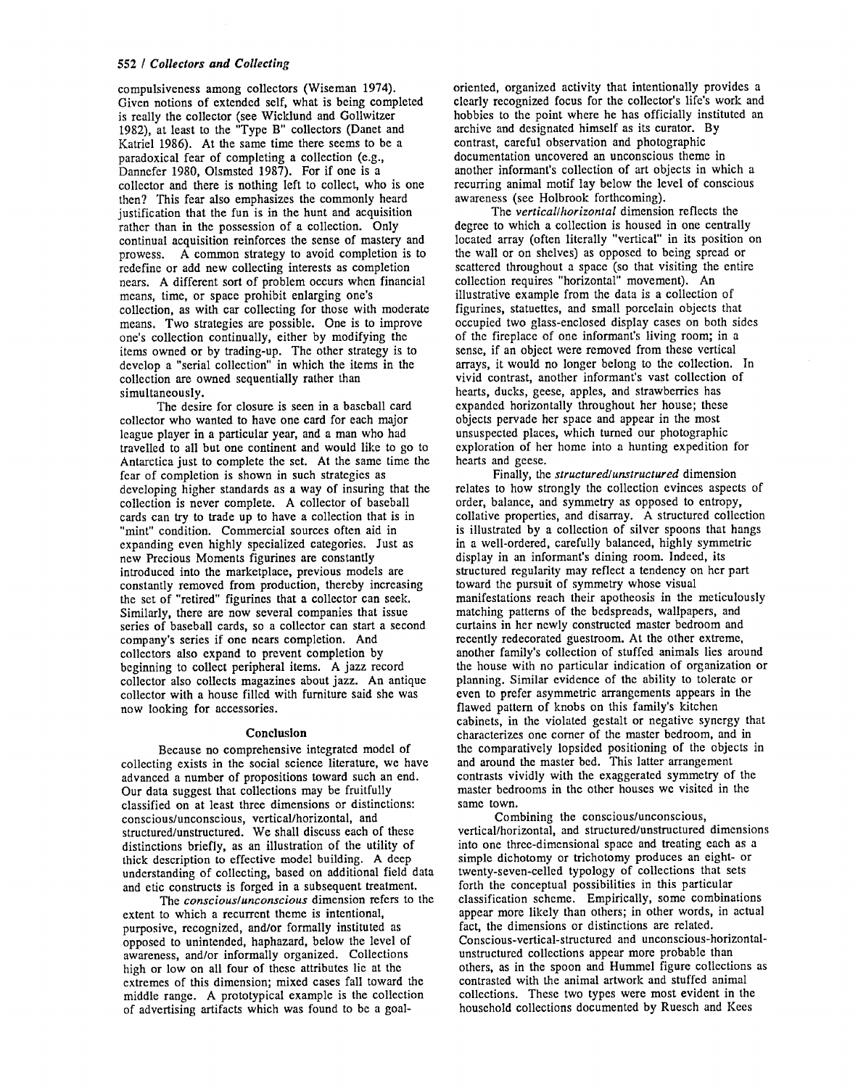#### 552 / *Collectors and Collecting*

compulsiveness among collectors (Wiseman 1974). Given notions of extended self, what is being completed is really the collector (see Wicklund and Gollwitzer 1982), at least to the "Type B" collectors (Danet and Katriel 1986). At the same time there seems to be a paradoxical fear of completing a collection (e.g., Dannefer 1980, Olsmsted 1987). For if one is a collector and there is nothing left to collect, who is one then? This fear also emphasizes the commonly heard justification that the fun is in the hunt and acquisition rather than in the possession of a collection. Only continual acquisition reinforces the sense of mastery and prowess. A common strategy to avoid completion is to redefine or add new collecting interests as completion nears. A different sort of problem occurs when financial means, time, or space prohibit enlarging one's collection, as with car collecting for those with moderate means. Two strategies are possible. One is to improve one's collection continually, either by modifying the items owned or by trading-up. The other strategy is to develop a "serial collection" in which the items in the collection are owned sequentially rather than simultaneously.

The desire for closure is seen in a baseball card collector who wanted to have one card for each major league player in a particular year, and a man who had travelled to all but one continent and would like to go to Antarctica just to complete the set. At the same time the fear of completion is shown in such strategies as developing higher standards as a way of insuring that the collection is never complete. A collector of baseball cards can try to trade up to have a collection that is in "mint" condition. Commercial sources often aid in expanding even highly specialized categories. Just as new Precious Moments figurines are constantly introduced into the marketplace, previous models are constantly removed from production, thereby increasing the set of "retired" figurines that a collector can seek. Similarly, there are now several companies that issue series of baseball cards, so a collector can start a second company's series if one nears completion. And collectors also expand to prevent completion by beginning to collect peripheral items. A jazz record collector also collects magazines about jazz. An antique collector with a house filled with furniture said she was now looking for accessories.

### Conclusion

Because no comprehensive integrated model of collecting exists in the social science literature, we have advaneed a number of propositions toward such an end. Our data suggest that collections may be fruitfully classified on at least three dimensions or distinctions: conscious/unconscious, vertical/horizontal, and structured/unstructured. We shall discuss each of these distinctions briefly, as an illustration of the utility of thick description to effective model building. A deep understanding of collecting, based on additional field data and etic constructs is forged in a subsequent treatment.

The *consciouslunconscious* dimension refers to the extent to which a recurrent theme is intentional, purposive, recognized, and/or formally instituted as opposed to unintended, haphazard, below the level of awareness, and/or informally organized. Collections high or low on all four of these attributes lie at the extremes of this dimension; mixed cases fall toward the middle range. A prototypical example is the collection of advertising artifacts which was found to be a goaloriented, organized activity that intentionally provides a clearly recognized focus for the collector's life's work and hobbies to the point where he has officially instituted an archive and designated himself as its curator. By contrast, careful observation and photographic documentation uncovered an unconscious theme in another informant's collection of art objects in which a recurring animal motif lay below the level of conscious awareness (see Holbrook forthcoming).

The *verticalihorizontal* dimension reflects the degree to which a collection is housed in one centrally located array (often literally "vertical" in its position on the wall or on shelves) as opposed to being spread or seattered throughout a space (so that visiting the entire collection requires "horizontal" movement). An illustrative example from the data is a collection of figurines, statuettes, and small porcelain objects that occupied two glass-enclosed display cases on both sides of the fireplace of one informant's living room; in a sense, if an object were removed from these vertical arrays, it would no longer belong to the collection. In vivid contrast, another informant's vast collection of hearts, ducks, geese, apples, and strawberries has expanded horizontally throughout her house; these objects pervade her space and appear in the most unsuspected places, which turned our photographic exploration of her home into a hunting expedition for hearts and geese.

Finally, the *structured/unstructured* dimension relates to how strongly the collection evinces aspects of order, balance, and symmetry as opposed to entropy, collative properties, and disarray. A structured collection is illustrated by a collection of silver spoons that hangs in a well-ordered, carefully balanced, highly symmetric display in an informant's dining room. Indeed, its structured regularity may reflect a tendency on her part toward the pursuit of symmetry whose visual manifestations reach their apotheosis in the meticulously matching patterns of the bedspreads, wallpapers, and curtains in her newly constructed master bedroom and recently redecorated guestroom. At the other extreme, another family's collection of stuffed animals lies around the house with no particular indication of organization or planning. Similar evidence of the ability to tolerate or even to prefer asymmetric arrangements appears in the flawed pattern of knobs on this family's kitchen cabinets, in the violated gestalt or negative synergy that characterizes one comer of the master bedroom, and in the comparatively lopsided positioning of the objects in and around the master bed. This latter arrangement contrasts vividly with the exaggerated symmetry of the master bedrooms in the other houses we visited in the same town.

Combining the conscious/unconscious, vertical/horizontal, and structured/unstructured dimensions into one three-dimensional space and treating each as a simple dichotomy or trichotomy produces an eight- or twenty-seven-eelled typology of collections that sets forth the coneeptual possibilities in this particular classification scheme. Empirically, some combinations appear more likely than others; in other words, in actual fact, the dimensions or distinctions are related. Conscious-vertical-structured and unconscious-horizontalunstructured collections appear more probable than others, as in the spoon and Hummel figure collections as contrasted with the animal artwork and stuffed animal collections. These two types were most evident in the household collections documented by Ruesch and Kees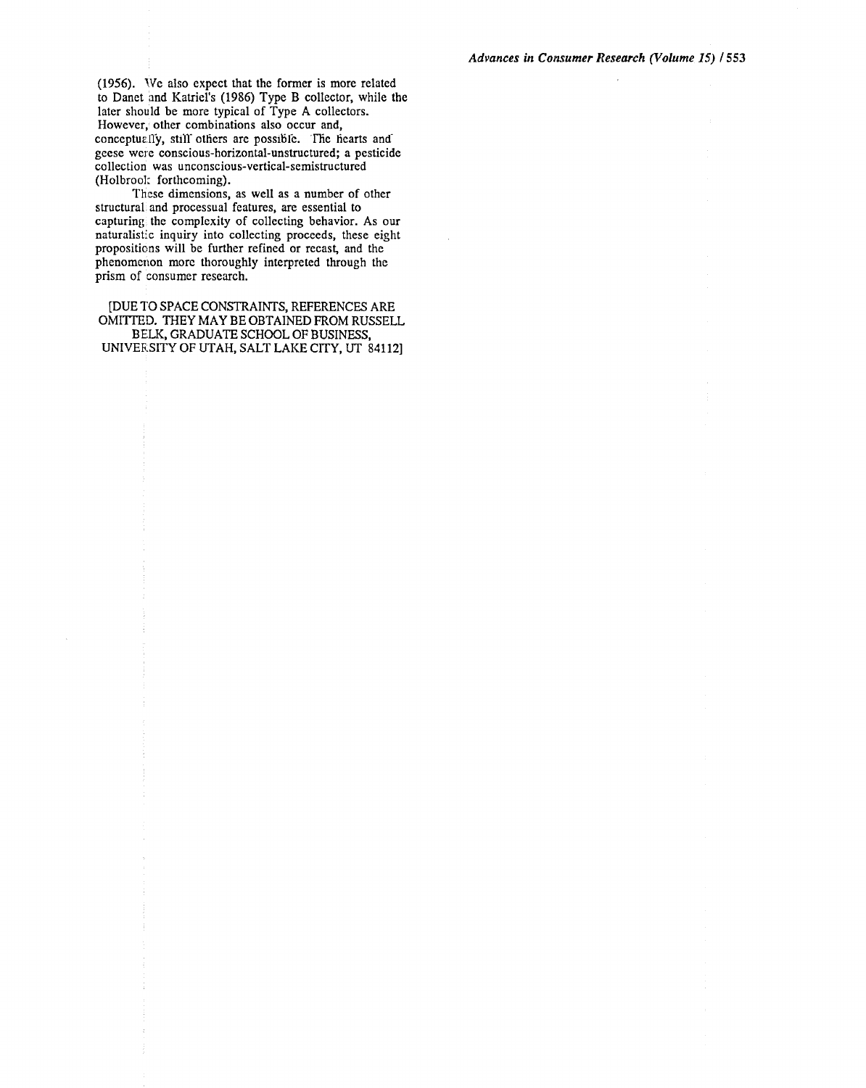(1956). We aiso expect that the former is more related to Danet and Katriel's (1986) Type B collector, while the later should be more typical of Type A collectors. However, other combinations also occur and, conceptually, still others are possible. The hearts and geese were conscious-horizontal-unstructured; a pesticide collection was unconscious-vertical-semistructured (Holbrook forthcoming).

These dimensions, as well as a number of other structural and processual features, are essential to capturing the complexity of collecting behavior. As our naturalistic inquiry into collecting proceeds, these eight propositions will be further refined or recast, and the phenomenon more thoroughly interpreted through the prism of consumer research.

[DUE TO SPACE CONSTRAINTS, REFERENCES ARE OMITTED. THEY MAY BE OBTAINED FROM RUSSELL BELK, GRADUATE SCHOOL OF BUSINESS, UNIVERSITY OF UTAH, SALT LAKE CITY, UT 84112]